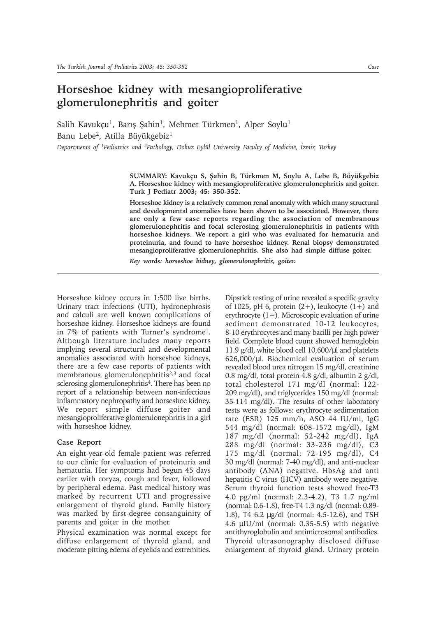## **Horseshoe kidney with mesangioproliferative glomerulonephritis and goiter**

Salih Kavukçu<sup>1</sup>, Barış Şahin<sup>1</sup>, Mehmet Türkmen<sup>1</sup>, Alper Soylu<sup>1</sup> Banu Lebe<sup>2</sup>, Atilla Büyükgebiz<sup>1</sup> *Departments of <sup>1</sup>Pediatrics and <sup>2</sup>Pathology, Dokuz Eylül University Faculty of Medicine, İzmir, Turkey* 

> **SUMMARY: Kavukçu S, Þahin B, Türkmen M, Soylu A, Lebe B, Büyükgebiz A. Horseshoe kidney with mesangioproliferative glomerulonephritis and goiter. Turk J Pediatr 2003; 45: 350-352.**

> **Horseshoe kidney is a relatively common renal anomaly with which many structural and developmental anomalies have been shown to be associated. However, there are only a few case reports regarding the association of membranous glomerulonephritis and focal sclerosing glomerulonephritis in patients with horseshoe kidneys. We report a girl who was evaluated for hematuria and proteinuria, and found to have horseshoe kidney. Renal biopsy demonstrated mesangioproliferative glomerulonephritis. She also had simple diffuse goiter.**

*Key words: horseshoe kidney, glomerulonephritis, goiter.*

Horseshoe kidney occurs in 1:500 live births. Urinary tract infections (UTI), hydronephrosis and calculi are well known complications of horseshoe kidney. Horseshoe kidneys are found in 7% of patients with Turner's syndrome1. Although literature includes many reports implying several structural and developmental anomalies associated with horseshoe kidneys, there are a few case reports of patients with membranous glomerulonephritis<sup>2,3</sup> and focal sclerosing glomerulonephritis<sup>4</sup>. There has been no report of a relationship between non-infectious inflammatory nephropathy and horseshoe kidney. We report simple diffuse goiter and mesangioproliferative glomerulonephritis in a girl with horseshoe kidney.

## **Case Report**

An eight-year-old female patient was referred to our clinic for evaluation of proteinuria and hematuria. Her symptoms had begun 45 days earlier with coryza, cough and fever, followed by peripheral edema. Past medical history was marked by recurrent UTI and progressive enlargement of thyroid gland. Family history was marked by first-degree consanguinity of parents and goiter in the mother.

Physical examination was normal except for diffuse enlargement of thyroid gland, and moderate pitting edema of eyelids and extremities.

Dipstick testing of urine revealed a specific gravity of 1025, pH 6, protein  $(2+)$ , leukocyte  $(1+)$  and erythrocyte (1+). Microscopic evaluation of urine sediment demonstrated 10-12 leukocytes, 8-10 erythrocytes and many bacilli per high power field. Complete blood count showed hemoglobin 11.9  $g/dl$ , white blood cell 10,600/ $\mu$ l and platelets 626,000/µl. Biochemical evaluation of serum revealed blood urea nitrogen 15 mg/dl, creatinine 0.8 mg/dl, total protein 4.8 g/dl, albumin 2 g/dl, total cholesterol 171 mg/dl (normal: 122- 209 mg/dl), and triglycerides 150 mg/dl (normal: 35-114 mg/dl). The results of other laboratory tests were as follows: erythrocyte sedimentation rate (ESR) 125 mm/h, ASO 44 IU/ml, IgG 544 mg/dl (normal: 608-1572 mg/dl), IgM 187 mg/dl (normal: 52-242 mg/dl), IgA 288 mg/dl (normal: 33-236 mg/dl), C3 175 mg/dl (normal: 72-195 mg/dl), C4 30 mg/dl (normal: 7-40 mg/dl), and anti-nuclear antibody (ANA) negative. HbsAg and anti hepatitis C virus (HCV) antibody were negative. Serum thyroid function tests showed free-T3 4.0 pg/ml (normal: 2.3-4.2), T3 1.7 ng/ml (normal: 0.6-1.8), free-T4 1.3 ng/dl (normal: 0.89- 1.8), T4 6.2 µg/dl (normal: 4.5-12.6), and TSH 4.6 µIU/ml (normal: 0.35-5.5) with negative antithyroglobulin and antimicrosomal antibodies. Thyroid ultrasonography disclosed diffuse enlargement of thyroid gland. Urinary protein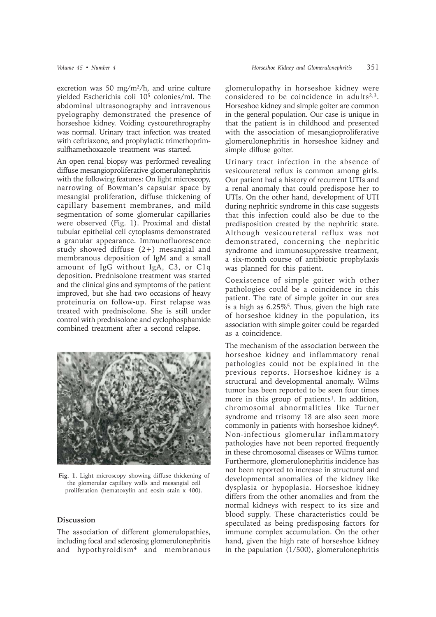excretion was 50 mg/m2/h, and urine culture yielded Escherichia coli 105 colonies/ml. The abdominal ultrasonography and intravenous pyelography demonstrated the presence of horseshoe kidney. Voiding cystourethrography was normal. Urinary tract infection was treated with ceftriaxone, and prophylactic trimethoprimsulfhamethoxazole treatment was started.

An open renal biopsy was performed revealing diffuse mesangioproliferative glomerulonephritis with the following features: On light microscopy, narrowing of Bowman's capsular space by mesangial proliferation, diffuse thickening of capillary basement membranes, and mild segmentation of some glomerular capillaries were observed (Fig. 1). Proximal and distal tubular epithelial cell cytoplasms demonstrated a granular appearance. Immunofluorescence study showed diffuse (2+) mesangial and membranous deposition of IgM and a small amount of IgG without IgA, C3, or C1q deposition. Prednisolone treatment was started and the clinical gins and symptoms of the patient improved, but she had two occasions of heavy proteinuria on follow-up. First relapse was treated with prednisolone. She is still under control with prednisolone and cyclophosphamide combined treatment after a second relapse.



**Fig. 1.** Light microscopy showing diffuse thickening of the glomerular capillary walls and mesangial cell proliferation (hematoxylin and eosin stain x 400).

## **Discussion**

The association of different glomerulopathies, including focal and sclerosing glomerulonephritis and hypothyroidism4 and membranous

glomerulopathy in horseshoe kidney were considered to be coincidence in adults $2,3$ . Horseshoe kidney and simple goiter are common in the general population. Our case is unique in that the patient is in childhood and presented with the association of mesangioproliferative glomerulonephritis in horseshoe kidney and simple diffuse goiter.

Urinary tract infection in the absence of vesicoureteral reflux is common among girls. Our patient had a history of recurrent UTIs and a renal anomaly that could predispose her to UTIs. On the other hand, development of UTI during nephritic syndrome in this case suggests that this infection could also be due to the predisposition created by the nephritic state. Although vesicoureteral reflux was not demonstrated, concerning the nephritic syndrome and immunosuppressive treatment, a six-month course of antibiotic prophylaxis was planned for this patient.

Coexistence of simple goiter with other pathologies could be a coincidence in this patient. The rate of simple goiter in our area is a high as  $6.25\%$ <sup>5</sup>. Thus, given the high rate of horseshoe kidney in the population, its association with simple goiter could be regarded as a coincidence.

The mechanism of the association between the horseshoe kidney and inflammatory renal pathologies could not be explained in the previous reports. Horseshoe kidney is a structural and developmental anomaly. Wilms tumor has been reported to be seen four times more in this group of patients<sup>1</sup>. In addition, chromosomal abnormalities like Turner syndrome and trisomy 18 are also seen more commonly in patients with horseshoe kidney6. Non-infectious glomerular inflammatory pathologies have not been reported frequently in these chromosomal diseases or Wilms tumor. Furthermore, glomerulonephritis incidence has not been reported to increase in structural and developmental anomalies of the kidney like dysplasia or hypoplasia. Horseshoe kidney differs from the other anomalies and from the normal kidneys with respect to its size and blood supply. These characteristics could be speculated as being predisposing factors for immune complex accumulation. On the other hand, given the high rate of horseshoe kidney in the papulation (1/500), glomerulonephritis